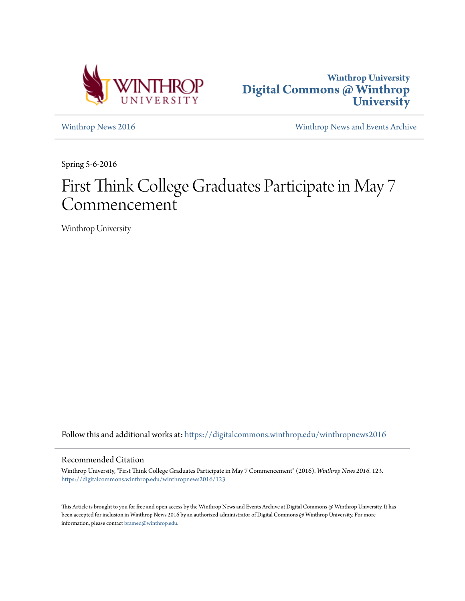



[Winthrop News 2016](https://digitalcommons.winthrop.edu/winthropnews2016?utm_source=digitalcommons.winthrop.edu%2Fwinthropnews2016%2F123&utm_medium=PDF&utm_campaign=PDFCoverPages) [Winthrop News and Events Archive](https://digitalcommons.winthrop.edu/winthropnewsarchives?utm_source=digitalcommons.winthrop.edu%2Fwinthropnews2016%2F123&utm_medium=PDF&utm_campaign=PDFCoverPages)

Spring 5-6-2016

## First Think College Graduates Participate in May 7 Commencement

Winthrop University

Follow this and additional works at: [https://digitalcommons.winthrop.edu/winthropnews2016](https://digitalcommons.winthrop.edu/winthropnews2016?utm_source=digitalcommons.winthrop.edu%2Fwinthropnews2016%2F123&utm_medium=PDF&utm_campaign=PDFCoverPages)

### Recommended Citation

Winthrop University, "First Think College Graduates Participate in May 7 Commencement" (2016). *Winthrop News 2016*. 123. [https://digitalcommons.winthrop.edu/winthropnews2016/123](https://digitalcommons.winthrop.edu/winthropnews2016/123?utm_source=digitalcommons.winthrop.edu%2Fwinthropnews2016%2F123&utm_medium=PDF&utm_campaign=PDFCoverPages)

This Article is brought to you for free and open access by the Winthrop News and Events Archive at Digital Commons @ Winthrop University. It has been accepted for inclusion in Winthrop News 2016 by an authorized administrator of Digital Commons @ Winthrop University. For more information, please contact [bramed@winthrop.edu](mailto:bramed@winthrop.edu).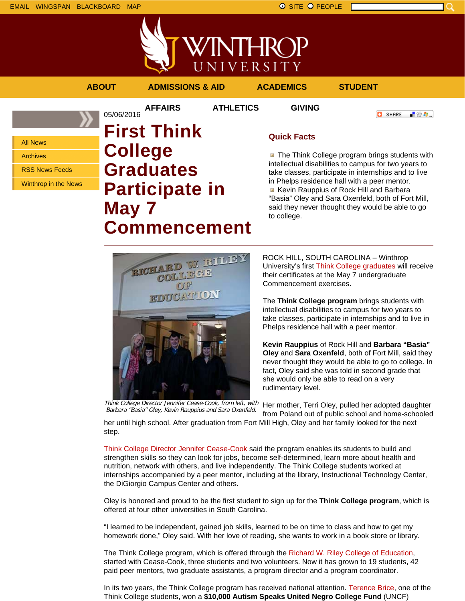EMAIL WINGSPAN BLACKBOARD MAP SITE PEOPLE SAND A SITE PEOPLE



**AFFAIRS ATHLETICS GIVING**

05/06/2016

**ABOUT ADMISSIONS & AID ACADEMICS STUDENT**

**O** SHARE

上脸身。

All News

Archives

RSS News Feeds

Winthrop in the News

# **First Think College Graduates Participate in May 7 Commencement**

### **Quick Facts**

**The Think College program brings students with** intellectual disabilities to campus for two years to take classes, participate in internships and to live in Phelps residence hall with a peer mentor. Kevin Rauppius of Rock Hill and Barbara "Basia" Oley and Sara Oxenfeld, both of Fort Mill, said they never thought they would be able to go to college.



ROCK HILL, SOUTH CAROLINA – Winthrop University's first Think College graduates will receive their certificates at the May 7 undergraduate Commencement exercises.

The **Think College program** brings students with intellectual disabilities to campus for two years to take classes, participate in internships and to live in Phelps residence hall with a peer mentor.

**Kevin Rauppius** of Rock Hill and **Barbara "Basia" Oley** and **Sara Oxenfeld**, both of Fort Mill, said they never thought they would be able to go to college. In fact, Oley said she was told in second grade that she would only be able to read on a very rudimentary level.

Think College Director Jennifer Cease-Cook, from left, with Barbara "Basia" Oley, Kevin Rauppius and Sara Oxenfeld.

Her mother, Terri Oley, pulled her adopted daughter from Poland out of public school and home-schooled

her until high school. After graduation from Fort Mill High, Oley and her family looked for the next step.

Think College Director Jennifer Cease-Cook said the program enables its students to build and strengthen skills so they can look for jobs, become self-determined, learn more about health and nutrition, network with others, and live independently. The Think College students worked at internships accompanied by a peer mentor, including at the library, Instructional Technology Center, the DiGiorgio Campus Center and others.

Oley is honored and proud to be the first student to sign up for the **Think College program**, which is offered at four other universities in South Carolina.

"I learned to be independent, gained job skills, learned to be on time to class and how to get my homework done," Oley said. With her love of reading, she wants to work in a book store or library.

The Think College program, which is offered through the Richard W. Riley College of Education, started with Cease-Cook, three students and two volunteers. Now it has grown to 19 students, 42 paid peer mentors, two graduate assistants, a program director and a program coordinator.

In its two years, the Think College program has received national attention. Terence Brice, one of the Think College students, won a **\$10,000 Autism Speaks United Negro College Fund** (UNCF)